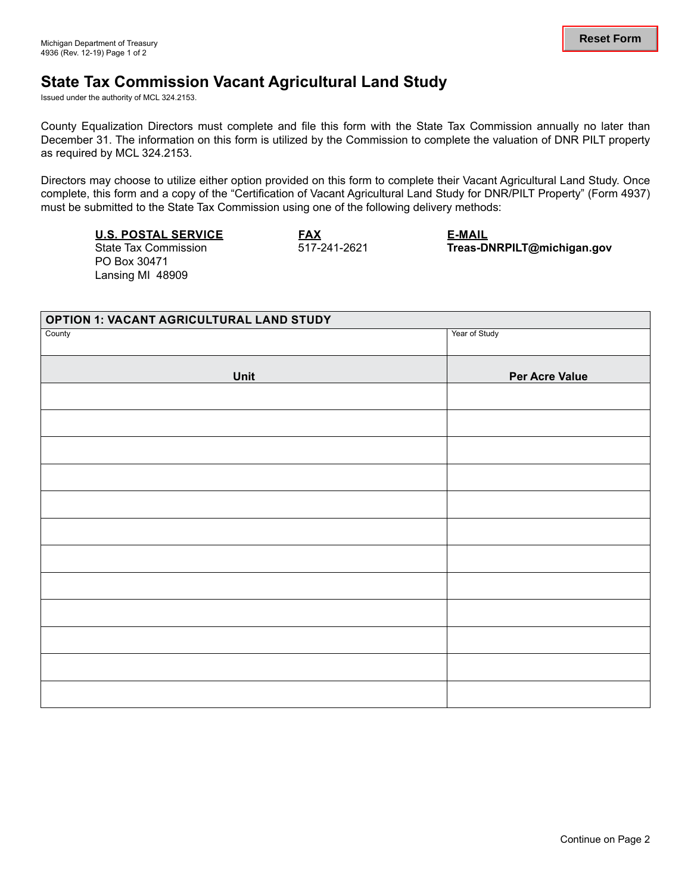## **State Tax Commission Vacant Agricultural Land Study**

Issued under the authority of MCL 324.2153.

County Equalization Directors must complete and file this form with the State Tax Commission annually no later than December 31. The information on this form is utilized by the Commission to complete the valuation of DNR PILT property as required by MCL 324.2153.

Directors may choose to utilize either option provided on this form to complete their Vacant Agricultural Land Study. Once complete, this form and a copy of the "Certification of Vacant Agricultural Land Study for DNR/PILT Property" (Form 4937) must be submitted to the State Tax Commission using one of the following delivery methods:

## **U.S. POSTAL SERVICE**

State Tax Commission PO Box 30471 Lansing MI 48909

**FAX**  517-241-2621

**E-MAIL Treas-DNRPILT@michigan.gov** 

| <b>OPTION 1: VACANT AGRICULTURAL LAND STUDY</b> |                       |  |  |  |
|-------------------------------------------------|-----------------------|--|--|--|
| County                                          | Year of Study         |  |  |  |
| Unit                                            | <b>Per Acre Value</b> |  |  |  |
|                                                 |                       |  |  |  |
|                                                 |                       |  |  |  |
|                                                 |                       |  |  |  |
|                                                 |                       |  |  |  |
|                                                 |                       |  |  |  |
|                                                 |                       |  |  |  |
|                                                 |                       |  |  |  |
|                                                 |                       |  |  |  |
|                                                 |                       |  |  |  |
|                                                 |                       |  |  |  |
|                                                 |                       |  |  |  |
|                                                 |                       |  |  |  |